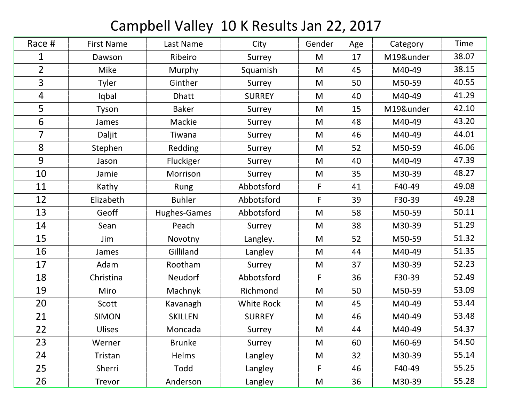## Campbell Valley 10 K Results Jan 22, 2017

| Race #         | <b>First Name</b> | Last Name      | City          | Gender      | Age | Category  | Time  |
|----------------|-------------------|----------------|---------------|-------------|-----|-----------|-------|
| 1              | Dawson            | Ribeiro        | Surrey        | M           | 17  | M19&under | 38.07 |
| $\overline{2}$ | <b>Mike</b>       | Murphy         | Squamish      | M           | 45  | M40-49    | 38.15 |
| 3              | Tyler             | Ginther        | Surrey        | M           | 50  | M50-59    | 40.55 |
| 4              | Iqbal             | <b>Dhatt</b>   | <b>SURREY</b> | M           | 40  | M40-49    | 41.29 |
| 5              | Tyson             | <b>Baker</b>   | Surrey        | M           | 15  | M19&under | 42.10 |
| 6              | James             | Mackie         | Surrey        | M           | 48  | M40-49    | 43.20 |
| $\overline{7}$ | Daljit            | Tiwana         | Surrey        | M           | 46  | M40-49    | 44.01 |
| 8              | Stephen           | Redding        | Surrey        | M           | 52  | M50-59    | 46.06 |
| 9              | Jason             | Fluckiger      | Surrey        | M           | 40  | M40-49    | 47.39 |
| 10             | Jamie             | Morrison       | Surrey        | M           | 35  | M30-39    | 48.27 |
| 11             | Kathy             | Rung           | Abbotsford    | $\mathsf F$ | 41  | F40-49    | 49.08 |
| 12             | Elizabeth         | <b>Buhler</b>  | Abbotsford    | F           | 39  | F30-39    | 49.28 |
| 13             | Geoff             | Hughes-Games   | Abbotsford    | M           | 58  | M50-59    | 50.11 |
| 14             | Sean              | Peach          | Surrey        | M           | 38  | M30-39    | 51.29 |
| 15             | Jim               | Novotny        | Langley.      | M           | 52  | M50-59    | 51.32 |
| 16             | James             | Gilliland      | Langley       | M           | 44  | M40-49    | 51.35 |
| 17             | Adam              | Rootham        | Surrey        | M           | 37  | M30-39    | 52.23 |
| 18             | Christina         | Neudorf        | Abbotsford    | F           | 36  | F30-39    | 52.49 |
| 19             | Miro              | Machnyk        | Richmond      | M           | 50  | M50-59    | 53.09 |
| 20             | Scott             | Kavanagh       | White Rock    | M           | 45  | M40-49    | 53.44 |
| 21             | <b>SIMON</b>      | <b>SKILLEN</b> | <b>SURREY</b> | M           | 46  | M40-49    | 53.48 |
| 22             | <b>Ulises</b>     | Moncada        | Surrey        | M           | 44  | M40-49    | 54.37 |
| 23             | Werner            | <b>Brunke</b>  | Surrey        | M           | 60  | M60-69    | 54.50 |
| 24             | Tristan           | <b>Helms</b>   | Langley       | M           | 32  | M30-39    | 55.14 |
| 25             | Sherri            | Todd           | Langley       | $\mathsf F$ | 46  | F40-49    | 55.25 |
| 26             | Trevor            | Anderson       | Langley       | M           | 36  | M30-39    | 55.28 |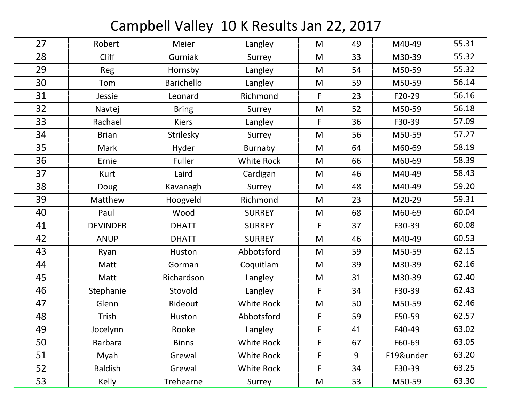## Campbell Valley 10 K Results Jan 22, 2017

| 27 | Robert          | Meier             | Langley           | M           | 49 | M40-49    | 55.31 |
|----|-----------------|-------------------|-------------------|-------------|----|-----------|-------|
| 28 | <b>Cliff</b>    | Gurniak           | Surrey            | M           | 33 | M30-39    | 55.32 |
| 29 | Reg             | Hornsby           | Langley           | M           | 54 | M50-59    | 55.32 |
| 30 | Tom             | <b>Barichello</b> | Langley           | M           | 59 | M50-59    | 56.14 |
| 31 | Jessie          | Leonard           | Richmond          | F           | 23 | F20-29    | 56.16 |
| 32 | Navtej          | <b>Bring</b>      | Surrey            | M           | 52 | M50-59    | 56.18 |
| 33 | Rachael         | <b>Kiers</b>      | Langley           | $\mathsf F$ | 36 | F30-39    | 57.09 |
| 34 | <b>Brian</b>    | Strilesky         | Surrey            | M           | 56 | M50-59    | 57.27 |
| 35 | Mark            | Hyder             | <b>Burnaby</b>    | M           | 64 | M60-69    | 58.19 |
| 36 | Ernie           | Fuller            | White Rock        | M           | 66 | M60-69    | 58.39 |
| 37 | Kurt            | Laird             | Cardigan          | M           | 46 | M40-49    | 58.43 |
| 38 | Doug            | Kavanagh          | Surrey            | M           | 48 | M40-49    | 59.20 |
| 39 | Matthew         | Hoogveld          | Richmond          | M           | 23 | M20-29    | 59.31 |
| 40 | Paul            | Wood              | <b>SURREY</b>     | M           | 68 | M60-69    | 60.04 |
| 41 | <b>DEVINDER</b> | <b>DHATT</b>      | <b>SURREY</b>     | $\mathsf F$ | 37 | F30-39    | 60.08 |
| 42 | <b>ANUP</b>     | <b>DHATT</b>      | <b>SURREY</b>     | M           | 46 | M40-49    | 60.53 |
| 43 | Ryan            | Huston            | Abbotsford        | M           | 59 | M50-59    | 62.15 |
| 44 | Matt            | Gorman            | Coquitlam         | M           | 39 | M30-39    | 62.16 |
| 45 | Matt            | Richardson        | Langley           | M           | 31 | M30-39    | 62.40 |
| 46 | Stephanie       | Stovold           | Langley           | F           | 34 | F30-39    | 62.43 |
| 47 | Glenn           | Rideout           | <b>White Rock</b> | M           | 50 | M50-59    | 62.46 |
| 48 | Trish           | Huston            | Abbotsford        | F           | 59 | F50-59    | 62.57 |
| 49 | Jocelynn        | Rooke             | Langley           | F           | 41 | F40-49    | 63.02 |
| 50 | <b>Barbara</b>  | <b>Binns</b>      | White Rock        | F           | 67 | F60-69    | 63.05 |
| 51 | Myah            | Grewal            | White Rock        | F           | 9  | F19&under | 63.20 |
| 52 | <b>Baldish</b>  | Grewal            | <b>White Rock</b> | F           | 34 | F30-39    | 63.25 |
| 53 | <b>Kelly</b>    | Trehearne         | Surrey            | M           | 53 | M50-59    | 63.30 |